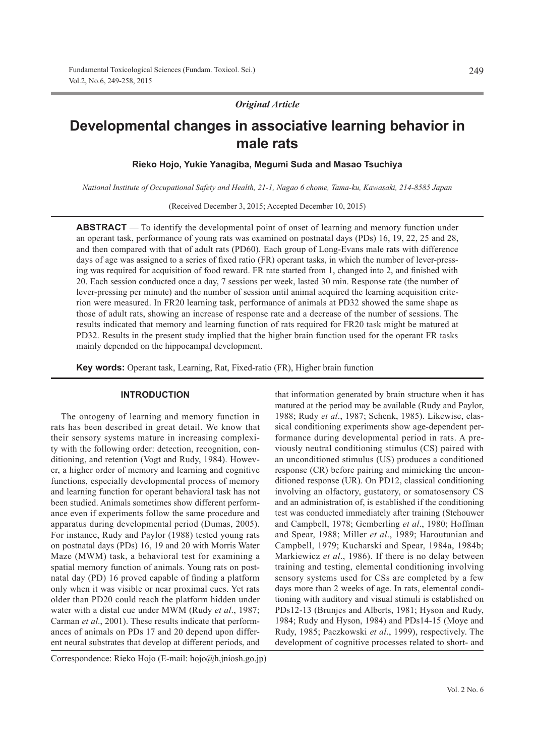*Original Article*

# **Developmental changes in associative learning behavior in male rats**

**Rieko Hojo, Yukie Yanagiba, Megumi Suda and Masao Tsuchiya**

*National Institute of Occupational Safety and Health, 21-1, Nagao 6 chome, Tama-ku, Kawasaki, 214-8585 Japan*

(Received December 3, 2015; Accepted December 10, 2015)

**ABSTRACT** — To identify the developmental point of onset of learning and memory function under an operant task, performance of young rats was examined on postnatal days (PDs) 16, 19, 22, 25 and 28, and then compared with that of adult rats (PD60). Each group of Long-Evans male rats with difference days of age was assigned to a series of fixed ratio (FR) operant tasks, in which the number of lever-pressing was required for acquisition of food reward. FR rate started from 1, changed into 2, and finished with 20. Each session conducted once a day, 7 sessions per week, lasted 30 min. Response rate (the number of lever-pressing per minute) and the number of session until animal acquired the learning acquisition criterion were measured. In FR20 learning task, performance of animals at PD32 showed the same shape as those of adult rats, showing an increase of response rate and a decrease of the number of sessions. The results indicated that memory and learning function of rats required for FR20 task might be matured at PD32. Results in the present study implied that the higher brain function used for the operant FR tasks mainly depended on the hippocampal development.

**Key words:** Operant task, Learning, Rat, Fixed-ratio (FR), Higher brain function

#### **INTRODUCTION**

The ontogeny of learning and memory function in rats has been described in great detail. We know that their sensory systems mature in increasing complexity with the following order: detection, recognition, conditioning, and retention (Vogt and Rudy, 1984). However, a higher order of memory and learning and cognitive functions, especially developmental process of memory and learning function for operant behavioral task has not been studied. Animals sometimes show different performance even if experiments follow the same procedure and apparatus during developmental period (Dumas, 2005). For instance, Rudy and Paylor (1988) tested young rats on postnatal days (PDs) 16, 19 and 20 with Morris Water Maze (MWM) task, a behavioral test for examining a spatial memory function of animals. Young rats on postnatal day (PD) 16 proved capable of finding a platform only when it was visible or near proximal cues. Yet rats older than PD20 could reach the platform hidden under water with a distal cue under MWM (Rudy *et al*., 1987; Carman *et al*., 2001). These results indicate that performances of animals on PDs 17 and 20 depend upon different neural substrates that develop at different periods, and

Correspondence: Rieko Hojo (E-mail: hojo@h.jniosh.go.jp)

that information generated by brain structure when it has matured at the period may be available (Rudy and Paylor, 1988; Rudy *et al*., 1987; Schenk, 1985). Likewise, classical conditioning experiments show age-dependent performance during developmental period in rats. A previously neutral conditioning stimulus (CS) paired with an unconditioned stimulus (US) produces a conditioned response (CR) before pairing and mimicking the unconditioned response (UR). On PD12, classical conditioning involving an olfactory, gustatory, or somatosensory CS and an administration of, is established if the conditioning test was conducted immediately after training (Stehouwer and Campbell, 1978; Gemberling *et al*., 1980; Hoffman and Spear, 1988; Miller *et al*., 1989; Haroutunian and Campbell, 1979; Kucharski and Spear, 1984a, 1984b; Markiewicz *et al*., 1986). If there is no delay between training and testing, elemental conditioning involving sensory systems used for CSs are completed by a few days more than 2 weeks of age. In rats, elemental conditioning with auditory and visual stimuli is established on PDs12-13 (Brunjes and Alberts, 1981; Hyson and Rudy, 1984; Rudy and Hyson, 1984) and PDs14-15 (Moye and Rudy, 1985; Paczkowski *et al*., 1999), respectively. The development of cognitive processes related to short- and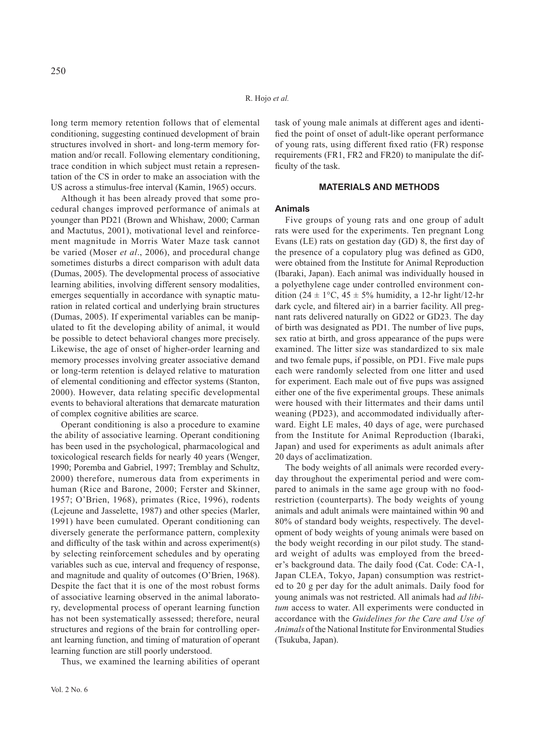long term memory retention follows that of elemental conditioning, suggesting continued development of brain structures involved in short- and long-term memory formation and/or recall. Following elementary conditioning, trace condition in which subject must retain a representation of the CS in order to make an association with the US across a stimulus-free interval (Kamin, 1965) occurs.

Although it has been already proved that some procedural changes improved performance of animals at younger than PD21 (Brown and Whishaw, 2000; Carman and Mactutus, 2001), motivational level and reinforcement magnitude in Morris Water Maze task cannot be varied (Moser *et al*., 2006), and procedural change sometimes disturbs a direct comparison with adult data (Dumas, 2005). The developmental process of associative learning abilities, involving different sensory modalities, emerges sequentially in accordance with synaptic maturation in related cortical and underlying brain structures (Dumas, 2005). If experimental variables can be manipulated to fit the developing ability of animal, it would be possible to detect behavioral changes more precisely. Likewise, the age of onset of higher-order learning and memory processes involving greater associative demand or long-term retention is delayed relative to maturation of elemental conditioning and effector systems (Stanton, 2000). However, data relating specific developmental events to behavioral alterations that demarcate maturation of complex cognitive abilities are scarce.

Operant conditioning is also a procedure to examine the ability of associative learning. Operant conditioning has been used in the psychological, pharmacological and toxicological research fields for nearly 40 years (Wenger, 1990; Poremba and Gabriel, 1997; Tremblay and Schultz, 2000) therefore, numerous data from experiments in human (Rice and Barone, 2000; Ferster and Skinner, 1957; O'Brien, 1968), primates (Rice, 1996), rodents (Lejeune and Jasselette, 1987) and other species (Marler, 1991) have been cumulated. Operant conditioning can diversely generate the performance pattern, complexity and difficulty of the task within and across experiment(s) by selecting reinforcement schedules and by operating variables such as cue, interval and frequency of response, and magnitude and quality of outcomes (O'Brien, 1968). Despite the fact that it is one of the most robust forms of associative learning observed in the animal laboratory, developmental process of operant learning function has not been systematically assessed; therefore, neural structures and regions of the brain for controlling operant learning function, and timing of maturation of operant learning function are still poorly understood.

Thus, we examined the learning abilities of operant

task of young male animals at different ages and identified the point of onset of adult-like operant performance of young rats, using different fixed ratio (FR) response requirements (FR1, FR2 and FR20) to manipulate the difficulty of the task.

# **MATERIALS AND METHODS**

#### **Animals**

Five groups of young rats and one group of adult rats were used for the experiments. Ten pregnant Long Evans (LE) rats on gestation day (GD) 8, the first day of the presence of a copulatory plug was defined as GD0, were obtained from the Institute for Animal Reproduction (Ibaraki, Japan). Each animal was individually housed in a polyethylene cage under controlled environment condition (24  $\pm$  1°C, 45  $\pm$  5% humidity, a 12-hr light/12-hr dark cycle, and filtered air) in a barrier facility. All pregnant rats delivered naturally on GD22 or GD23. The day of birth was designated as PD1. The number of live pups, sex ratio at birth, and gross appearance of the pups were examined. The litter size was standardized to six male and two female pups, if possible, on PD1. Five male pups each were randomly selected from one litter and used for experiment. Each male out of five pups was assigned either one of the five experimental groups. These animals were housed with their littermates and their dams until weaning (PD23), and accommodated individually afterward. Eight LE males, 40 days of age, were purchased from the Institute for Animal Reproduction (Ibaraki, Japan) and used for experiments as adult animals after 20 days of acclimatization.

The body weights of all animals were recorded everyday throughout the experimental period and were compared to animals in the same age group with no foodrestriction (counterparts). The body weights of young animals and adult animals were maintained within 90 and 80% of standard body weights, respectively. The development of body weights of young animals were based on the body weight recording in our pilot study. The standard weight of adults was employed from the breeder's background data. The daily food (Cat. Code: CA-1, Japan CLEA, Tokyo, Japan) consumption was restricted to 20 g per day for the adult animals. Daily food for young animals was not restricted. All animals had *ad libitum* access to water. All experiments were conducted in accordance with the *Guidelines for the Care and Use of Animals* of the National Institute for Environmental Studies (Tsukuba, Japan).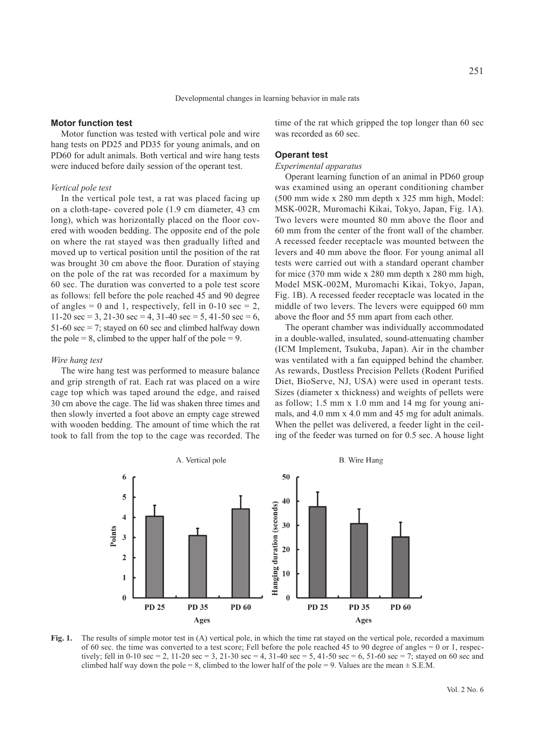## **Motor function test**

Motor function was tested with vertical pole and wire hang tests on PD25 and PD35 for young animals, and on PD60 for adult animals. Both vertical and wire hang tests were induced before daily session of the operant test.

#### *Vertical pole test*

In the vertical pole test, a rat was placed facing up on a cloth-tape- covered pole (1.9 cm diameter, 43 cm long), which was horizontally placed on the floor covered with wooden bedding. The opposite end of the pole on where the rat stayed was then gradually lifted and moved up to vertical position until the position of the rat was brought 30 cm above the floor. Duration of staying on the pole of the rat was recorded for a maximum by 60 sec. The duration was converted to a pole test score as follows: fell before the pole reached 45 and 90 degree of angles = 0 and 1, respectively, fell in  $0-10$  sec = 2, 11-20 sec = 3, 21-30 sec = 4, 31-40 sec = 5, 41-50 sec = 6, 51-60 sec  $= 7$ ; stayed on 60 sec and climbed halfway down the pole  $= 8$ , climbed to the upper half of the pole  $= 9$ .

## *Wire hang test*

The wire hang test was performed to measure balance and grip strength of rat. Each rat was placed on a wire cage top which was taped around the edge, and raised 30 cm above the cage. The lid was shaken three times and then slowly inverted a foot above an empty cage strewed with wooden bedding. The amount of time which the rat took to fall from the top to the cage was recorded. The time of the rat which gripped the top longer than 60 sec was recorded as 60 sec.

## **Operant test**

# *Experimental apparatus*

Operant learning function of an animal in PD60 group was examined using an operant conditioning chamber (500 mm wide x 280 mm depth x 325 mm high, Model: MSK-002R, Muromachi Kikai, Tokyo, Japan, Fig. 1A). Two levers were mounted 80 mm above the floor and 60 mm from the center of the front wall of the chamber. A recessed feeder receptacle was mounted between the levers and 40 mm above the floor. For young animal all tests were carried out with a standard operant chamber for mice (370 mm wide x 280 mm depth x 280 mm high, Model MSK-002M, Muromachi Kikai, Tokyo, Japan, Fig. 1B). A recessed feeder receptacle was located in the middle of two levers. The levers were equipped 60 mm above the floor and 55 mm apart from each other.

The operant chamber was individually accommodated in a double-walled, insulated, sound-attenuating chamber (ICM Implement, Tsukuba, Japan). Air in the chamber was ventilated with a fan equipped behind the chamber. As rewards, Dustless Precision Pellets (Rodent Purified Diet, BioServe, NJ, USA) were used in operant tests. Sizes (diameter x thickness) and weights of pellets were as follow; 1.5 mm x 1.0 mm and 14 mg for young animals, and 4.0 mm x 4.0 mm and 45 mg for adult animals. When the pellet was delivered, a feeder light in the ceiling of the feeder was turned on for 0.5 sec. A house light



**Fig. 1.** The results of simple motor test in (A) vertical pole, in which the time rat stayed on the vertical pole, recorded a maximum of 60 sec. the time was converted to a test score; Fell before the pole reached 45 to 90 degree of angles  $= 0$  or 1, respectively; fell in 0-10 sec = 2, 11-20 sec = 3, 21-30 sec = 4, 31-40 sec = 5, 41-50 sec = 6, 51-60 sec = 7; stayed on 60 sec and climbed half way down the pole = 8, climbed to the lower half of the pole = 9. Values are the mean  $\pm$  S.E.M.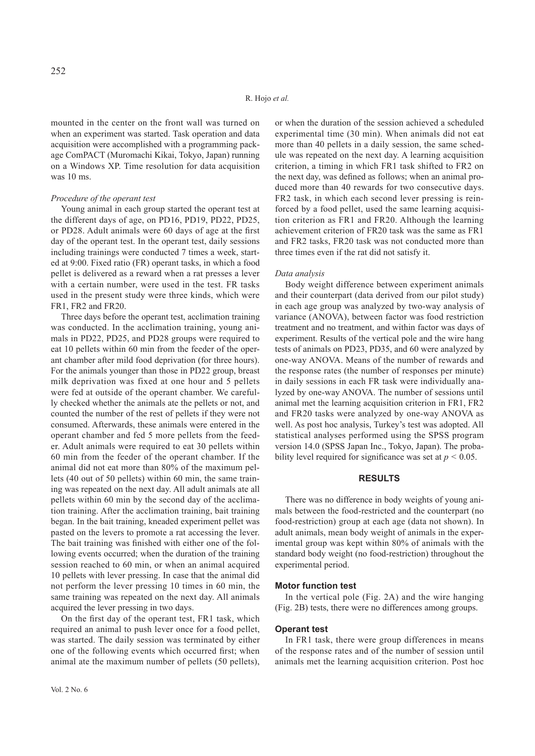mounted in the center on the front wall was turned on when an experiment was started. Task operation and data acquisition were accomplished with a programming package ComPACT (Muromachi Kikai, Tokyo, Japan) running on a Windows XP. Time resolution for data acquisition was 10 ms.

#### *Procedure of the operant test*

Young animal in each group started the operant test at the different days of age, on PD16, PD19, PD22, PD25, or PD28. Adult animals were 60 days of age at the first day of the operant test. In the operant test, daily sessions including trainings were conducted 7 times a week, started at 9:00. Fixed ratio (FR) operant tasks, in which a food pellet is delivered as a reward when a rat presses a lever with a certain number, were used in the test. FR tasks used in the present study were three kinds, which were FR1, FR2 and FR20.

Three days before the operant test, acclimation training was conducted. In the acclimation training, young animals in PD22, PD25, and PD28 groups were required to eat 10 pellets within 60 min from the feeder of the operant chamber after mild food deprivation (for three hours). For the animals younger than those in PD22 group, breast milk deprivation was fixed at one hour and 5 pellets were fed at outside of the operant chamber. We carefully checked whether the animals ate the pellets or not, and counted the number of the rest of pellets if they were not consumed. Afterwards, these animals were entered in the operant chamber and fed 5 more pellets from the feeder. Adult animals were required to eat 30 pellets within 60 min from the feeder of the operant chamber. If the animal did not eat more than 80% of the maximum pellets (40 out of 50 pellets) within 60 min, the same training was repeated on the next day. All adult animals ate all pellets within 60 min by the second day of the acclimation training. After the acclimation training, bait training began. In the bait training, kneaded experiment pellet was pasted on the levers to promote a rat accessing the lever. The bait training was finished with either one of the following events occurred; when the duration of the training session reached to 60 min, or when an animal acquired 10 pellets with lever pressing. In case that the animal did not perform the lever pressing 10 times in 60 min, the same training was repeated on the next day. All animals acquired the lever pressing in two days.

On the first day of the operant test, FR1 task, which required an animal to push lever once for a food pellet, was started. The daily session was terminated by either one of the following events which occurred first; when animal ate the maximum number of pellets (50 pellets),

or when the duration of the session achieved a scheduled experimental time (30 min). When animals did not eat more than 40 pellets in a daily session, the same schedule was repeated on the next day. A learning acquisition criterion, a timing in which FR1 task shifted to FR2 on the next day, was defined as follows; when an animal produced more than 40 rewards for two consecutive days. FR2 task, in which each second lever pressing is reinforced by a food pellet, used the same learning acquisition criterion as FR1 and FR20. Although the learning achievement criterion of FR20 task was the same as FR1 and FR2 tasks, FR20 task was not conducted more than three times even if the rat did not satisfy it.

#### *Data analysis*

Body weight difference between experiment animals and their counterpart (data derived from our pilot study) in each age group was analyzed by two-way analysis of variance (ANOVA), between factor was food restriction treatment and no treatment, and within factor was days of experiment. Results of the vertical pole and the wire hang tests of animals on PD23, PD35, and 60 were analyzed by one-way ANOVA. Means of the number of rewards and the response rates (the number of responses per minute) in daily sessions in each FR task were individually analyzed by one-way ANOVA. The number of sessions until animal met the learning acquisition criterion in FR1, FR2 and FR20 tasks were analyzed by one-way ANOVA as well. As post hoc analysis, Turkey's test was adopted. All statistical analyses performed using the SPSS program version 14.0 (SPSS Japan Inc., Tokyo, Japan). The probability level required for significance was set at  $p < 0.05$ .

## **RESULTS**

There was no difference in body weights of young animals between the food-restricted and the counterpart (no food-restriction) group at each age (data not shown). In adult animals, mean body weight of animals in the experimental group was kept within 80% of animals with the standard body weight (no food-restriction) throughout the experimental period.

#### **Motor function test**

In the vertical pole (Fig. 2A) and the wire hanging (Fig. 2B) tests, there were no differences among groups.

#### **Operant test**

In FR1 task, there were group differences in means of the response rates and of the number of session until animals met the learning acquisition criterion. Post hoc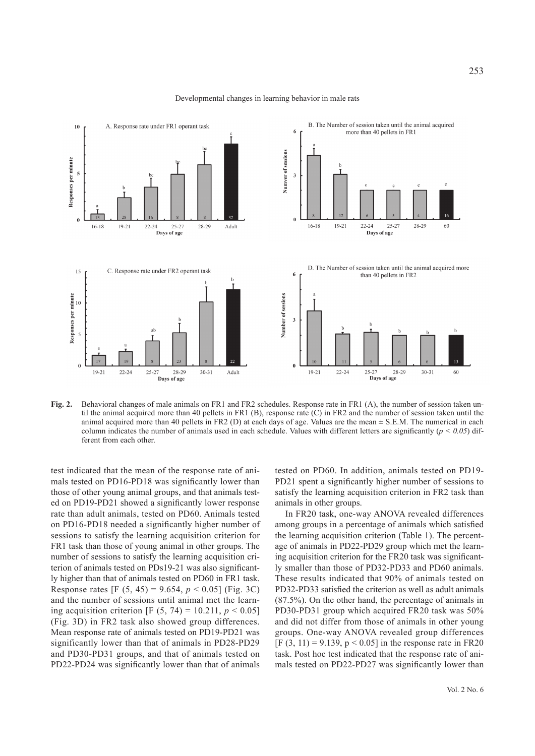

#### Developmental changes in learning behavior in male rats

**Fig. 2.** Behavioral changes of male animals on FR1 and FR2 schedules. Response rate in FR1 (A), the number of session taken until the animal acquired more than 40 pellets in FR1 (B), response rate (C) in FR2 and the number of session taken until the animal acquired more than 40 pellets in FR2 (D) at each days of age. Values are the mean  $\pm$  S.E.M. The numerical in each column indicates the number of animals used in each schedule. Values with different letters are significantly  $(p < 0.05)$  different from each other.

test indicated that the mean of the response rate of animals tested on PD16-PD18 was significantly lower than those of other young animal groups, and that animals tested on PD19-PD21 showed a significantly lower response rate than adult animals, tested on PD60. Animals tested on PD16-PD18 needed a significantly higher number of sessions to satisfy the learning acquisition criterion for FR1 task than those of young animal in other groups. The number of sessions to satisfy the learning acquisition criterion of animals tested on PDs19-21 was also significantly higher than that of animals tested on PD60 in FR1 task. Response rates [F (5, 45) = 9.654, *p* < 0.05] (Fig. 3C) and the number of sessions until animal met the learning acquisition criterion [F  $(5, 74) = 10.211$ ,  $p < 0.05$ ] (Fig. 3D) in FR2 task also showed group differences. Mean response rate of animals tested on PD19-PD21 was significantly lower than that of animals in PD28-PD29 and PD30-PD31 groups, and that of animals tested on PD22-PD24 was significantly lower than that of animals

tested on PD60. In addition, animals tested on PD19- PD21 spent a significantly higher number of sessions to satisfy the learning acquisition criterion in FR2 task than animals in other groups.

In FR20 task, one-way ANOVA revealed differences among groups in a percentage of animals which satisfied the learning acquisition criterion (Table 1). The percentage of animals in PD22-PD29 group which met the learning acquisition criterion for the FR20 task was significantly smaller than those of PD32-PD33 and PD60 animals. These results indicated that 90% of animals tested on PD32-PD33 satisfied the criterion as well as adult animals (87.5%). On the other hand, the percentage of animals in PD30-PD31 group which acquired FR20 task was 50% and did not differ from those of animals in other young groups. One-way ANOVA revealed group differences [F  $(3, 11) = 9.139$ ,  $p < 0.05$ ] in the response rate in FR20 task. Post hoc test indicated that the response rate of animals tested on PD22-PD27 was significantly lower than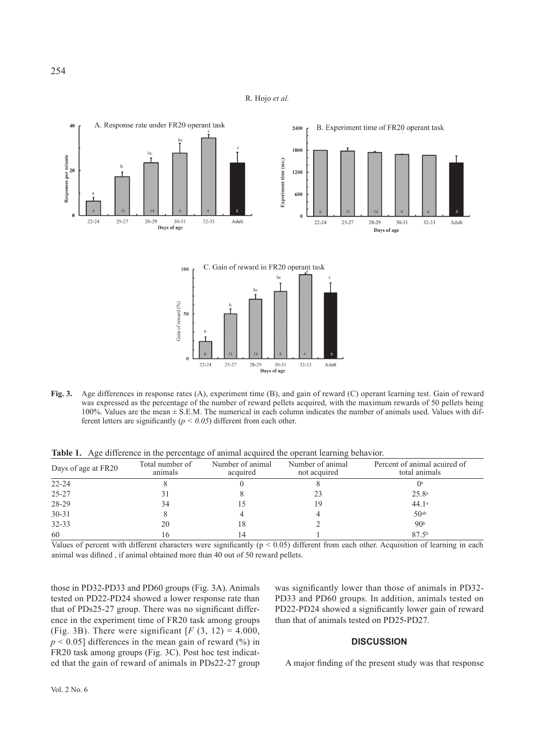



**Fig. 3.** Age differences in response rates (A), experiment time (B), and gain of reward (C) operant learning test. Gain of reward was expressed as the percentage of the number of reward pellets acquired, with the maximum rewards of 50 pellets being 100%. Values are the mean ± S.E.M. The numerical in each column indicates the number of animals used. Values with different letters are significantly ( $p < 0.05$ ) different from each other.

**Table 1.** Age difference in the percentage of animal acquired the operant learning behavior.

| Days of age at FR20 | Total number of<br>animals | Number of animal<br>acquired | Number of animal<br>not acquired | Percent of animal acuired of<br>total animals |
|---------------------|----------------------------|------------------------------|----------------------------------|-----------------------------------------------|
| $22 - 24$           |                            |                              |                                  |                                               |
| 25-27               |                            |                              | 23                               | 25.8 <sup>a</sup>                             |
| 28-29               | 34                         |                              | 19                               | 44.1a                                         |
| $30 - 31$           |                            |                              |                                  | 50 <sup>ab</sup>                              |
| $32 - 33$           | 20                         | 18                           |                                  | 90 <sup>b</sup>                               |
| 60                  |                            |                              |                                  | 87.5 <sup>b</sup>                             |

Values of percent with different characters were significantly ( $p < 0.05$ ) different from each other. Acquisition of learning in each animal was difined , if animal obtained more than 40 out of 50 reward pellets.

those in PD32-PD33 and PD60 groups (Fig. 3A). Animals tested on PD22-PD24 showed a lower response rate than that of PDs25-27 group. There was no significant difference in the experiment time of FR20 task among groups (Fig. 3B). There were significant  $[F(3, 12) = 4.000,$  $p \le 0.05$ ] differences in the mean gain of reward  $(\%)$  in FR20 task among groups (Fig. 3C). Post hoc test indicated that the gain of reward of animals in PDs22-27 group was significantly lower than those of animals in PD32- PD33 and PD60 groups. In addition, animals tested on PD22-PD24 showed a significantly lower gain of reward than that of animals tested on PD25-PD27.

 $32 - 33$ 

Adult

# **DISCUSSION**

A major finding of the present study was that response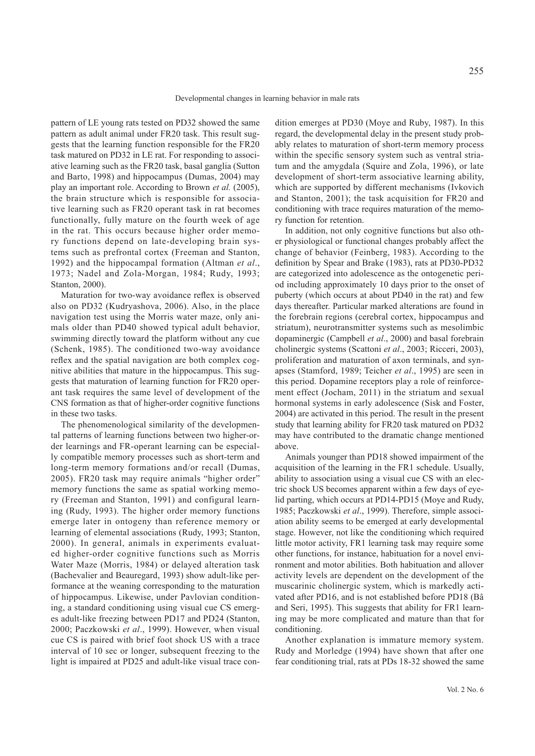pattern of LE young rats tested on PD32 showed the same pattern as adult animal under FR20 task. This result suggests that the learning function responsible for the FR20 task matured on PD32 in LE rat. For responding to associative learning such as the FR20 task, basal ganglia (Sutton and Barto, 1998) and hippocampus (Dumas, 2004) may play an important role. According to Brown *et al.* (2005), the brain structure which is responsible for associative learning such as FR20 operant task in rat becomes functionally, fully mature on the fourth week of age in the rat. This occurs because higher order memory functions depend on late-developing brain systems such as prefrontal cortex (Freeman and Stanton, 1992) and the hippocampal formation (Altman *et al*., 1973; Nadel and Zola-Morgan, 1984; Rudy, 1993; Stanton, 2000).

Maturation for two-way avoidance reflex is observed also on PD32 (Kudryashova, 2006). Also, in the place navigation test using the Morris water maze, only animals older than PD40 showed typical adult behavior, swimming directly toward the platform without any cue (Schenk, 1985). The conditioned two-way avoidance reflex and the spatial navigation are both complex cognitive abilities that mature in the hippocampus. This suggests that maturation of learning function for FR20 operant task requires the same level of development of the CNS formation as that of higher-order cognitive functions in these two tasks.

The phenomenological similarity of the developmental patterns of learning functions between two higher-order learnings and FR-operant learning can be especially compatible memory processes such as short-term and long-term memory formations and/or recall (Dumas, 2005). FR20 task may require animals "higher order" memory functions the same as spatial working memory (Freeman and Stanton, 1991) and configural learning (Rudy, 1993). The higher order memory functions emerge later in ontogeny than reference memory or learning of elemental associations (Rudy, 1993; Stanton, 2000). In general, animals in experiments evaluated higher-order cognitive functions such as Morris Water Maze (Morris, 1984) or delayed alteration task (Bachevalier and Beauregard, 1993) show adult-like performance at the weaning corresponding to the maturation of hippocampus. Likewise, under Pavlovian conditioning, a standard conditioning using visual cue CS emerges adult-like freezing between PD17 and PD24 (Stanton, 2000; Paczkowski *et al*., 1999). However, when visual cue CS is paired with brief foot shock US with a trace interval of 10 sec or longer, subsequent freezing to the light is impaired at PD25 and adult-like visual trace condition emerges at PD30 (Moye and Ruby, 1987). In this regard, the developmental delay in the present study probably relates to maturation of short-term memory process within the specific sensory system such as ventral striatum and the amygdala (Squire and Zola, 1996), or late development of short-term associative learning ability, which are supported by different mechanisms (Ivkovich and Stanton, 2001); the task acquisition for FR20 and conditioning with trace requires maturation of the memory function for retention.

In addition, not only cognitive functions but also other physiological or functional changes probably affect the change of behavior (Feinberg, 1983). According to the definition by Spear and Brake (1983), rats at PD30-PD32 are categorized into adolescence as the ontogenetic period including approximately 10 days prior to the onset of puberty (which occurs at about PD40 in the rat) and few days thereafter. Particular marked alterations are found in the forebrain regions (cerebral cortex, hippocampus and striatum), neurotransmitter systems such as mesolimbic dopaminergic (Campbell *et al*., 2000) and basal forebrain cholinergic systems (Scattoni *et al*., 2003; Ricceri, 2003), proliferation and maturation of axon terminals, and synapses (Stamford, 1989; Teicher *et al*., 1995) are seen in this period. Dopamine receptors play a role of reinforcement effect (Jocham, 2011) in the striatum and sexual hormonal systems in early adolescence (Sisk and Foster, 2004) are activated in this period. The result in the present study that learning ability for FR20 task matured on PD32 may have contributed to the dramatic change mentioned above.

Animals younger than PD18 showed impairment of the acquisition of the learning in the FR1 schedule. Usually, ability to association using a visual cue CS with an electric shock US becomes apparent within a few days of eyelid parting, which occurs at PD14-PD15 (Moye and Rudy, 1985; Paczkowski *et al*., 1999). Therefore, simple association ability seems to be emerged at early developmental stage. However, not like the conditioning which required little motor activity, FR1 learning task may require some other functions, for instance, habituation for a novel environment and motor abilities. Both habituation and allover activity levels are dependent on the development of the muscarinic cholinergic system, which is markedly activated after PD16, and is not established before PD18 (Bâ and Seri, 1995). This suggests that ability for FR1 learning may be more complicated and mature than that for conditioning.

Another explanation is immature memory system. Rudy and Morledge (1994) have shown that after one fear conditioning trial, rats at PDs 18-32 showed the same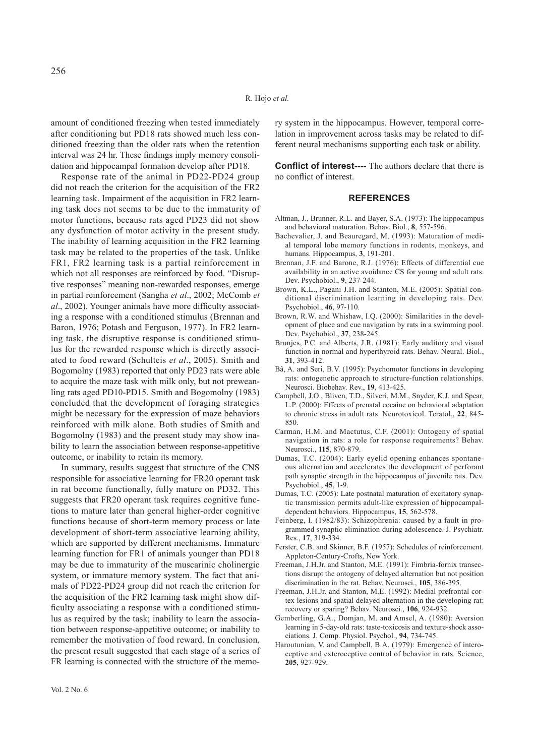amount of conditioned freezing when tested immediately after conditioning but PD18 rats showed much less conditioned freezing than the older rats when the retention interval was 24 hr. These findings imply memory consolidation and hippocampal formation develop after PD18.

Response rate of the animal in PD22-PD24 group did not reach the criterion for the acquisition of the FR2 learning task. Impairment of the acquisition in FR2 learning task does not seems to be due to the immaturity of motor functions, because rats aged PD23 did not show any dysfunction of motor activity in the present study. The inability of learning acquisition in the FR2 learning task may be related to the properties of the task. Unlike FR1, FR2 learning task is a partial reinforcement in which not all responses are reinforced by food. "Disruptive responses" meaning non-rewarded responses, emerge in partial reinforcement (Sangha *et al*., 2002; McComb *et al*., 2002). Younger animals have more difficulty associating a response with a conditioned stimulus (Brennan and Baron, 1976; Potash and Ferguson, 1977). In FR2 learning task, the disruptive response is conditioned stimulus for the rewarded response which is directly associated to food reward (Schulteis *et al*., 2005). Smith and Bogomolny (1983) reported that only PD23 rats were able to acquire the maze task with milk only, but not preweanling rats aged PD10-PD15. Smith and Bogomolny (1983) concluded that the development of foraging strategies might be necessary for the expression of maze behaviors reinforced with milk alone. Both studies of Smith and Bogomolny (1983) and the present study may show inability to learn the association between response-appetitive outcome, or inability to retain its memory.

In summary, results suggest that structure of the CNS responsible for associative learning for FR20 operant task in rat become functionally, fully mature on PD32. This suggests that FR20 operant task requires cognitive functions to mature later than general higher-order cognitive functions because of short-term memory process or late development of short-term associative learning ability, which are supported by different mechanisms. Immature learning function for FR1 of animals younger than PD18 may be due to immaturity of the muscarinic cholinergic system, or immature memory system. The fact that animals of PD22-PD24 group did not reach the criterion for the acquisition of the FR2 learning task might show difficulty associating a response with a conditioned stimulus as required by the task; inability to learn the association between response-appetitive outcome; or inability to remember the motivation of food reward. In conclusion, the present result suggested that each stage of a series of FR learning is connected with the structure of the memo**Conflict of interest----** The authors declare that there is no conflict of interest.

#### **REFERENCES**

- Altman, J., Brunner, R.L. and Bayer, S.A. (1973): The hippocampus and behavioral maturation. Behav. Biol., **8**, 557-596.
- Bachevalier, J. and Beauregard, M. (1993): Maturation of medial temporal lobe memory functions in rodents, monkeys, and humans. Hippocampus, **3**, 191-201.
- Brennan, J.F. and Barone, R.J. (1976): Effects of differential cue availability in an active avoidance CS for young and adult rats. Dev. Psychobiol., **9**, 237-244.
- Brown, K.L., Pagani J.H. and Stanton, M.E. (2005): Spatial conditional discrimination learning in developing rats. Dev. Psychobiol., **46**, 97-110.
- Brown, R.W. and Whishaw, I.Q. (2000): Similarities in the development of place and cue navigation by rats in a swimming pool. Dev. Psychobiol., **37**, 238-245.
- Brunjes, P.C. and Alberts, J.R. (1981): Early auditory and visual function in normal and hyperthyroid rats. Behav. Neural. Biol., **31**, 393-412.
- Bâ, A. and Seri, B.V. (1995): Psychomotor functions in developing rats: ontogenetic approach to structure-function relationships. Neurosci. Biobehav. Rev., **19**, 413-425.
- Campbell, J.O., Bliven, T.D., Silveri, M.M., Snyder, K.J. and Spear, L.P. (2000): Effects of prenatal cocaine on behavioral adaptation to chronic stress in adult rats. Neurotoxicol. Teratol., **22**, 845- 850.
- Carman, H.M. and Mactutus, C.F. (2001): Ontogeny of spatial navigation in rats: a role for response requirements? Behav. Neurosci., **115**, 870-879.
- Dumas, T.C. (2004): Early eyelid opening enhances spontaneous alternation and accelerates the development of perforant path synaptic strength in the hippocampus of juvenile rats. Dev. Psychobiol., **45**, 1-9.
- Dumas, T.C. (2005): Late postnatal maturation of excitatory synaptic transmission permits adult-like expression of hippocampaldependent behaviors. Hippocampus, **15**, 562-578.
- Feinberg, I. (1982/83): Schizophrenia: caused by a fault in programmed synaptic elimination during adolescence. J. Psychiatr. Res., **17**, 319-334.
- Ferster, C.B. and Skinner, B.F. (1957): Schedules of reinforcement. Appleton-Century-Crofts, New York.
- Freeman, J.H.Jr. and Stanton, M.E. (1991): Fimbria-fornix transections disrupt the ontogeny of delayed alternation but not position discrimination in the rat. Behav. Neurosci., **105**, 386-395.
- Freeman, J.H.Jr. and Stanton, M.E. (1992): Medial prefrontal cortex lesions and spatial delayed alternation in the developing rat: recovery or sparing? Behav. Neurosci., **106**, 924-932.
- Gemberling, G.A., Domjan, M. and Amsel, A. (1980): Aversion learning in 5-day-old rats: taste-toxicosis and texture-shock associations. J. Comp. Physiol. Psychol., **94**, 734-745.
- Haroutunian, V. and Campbell, B.A. (1979): Emergence of interoceptive and exteroceptive control of behavior in rats. Science, **205**, 927-929.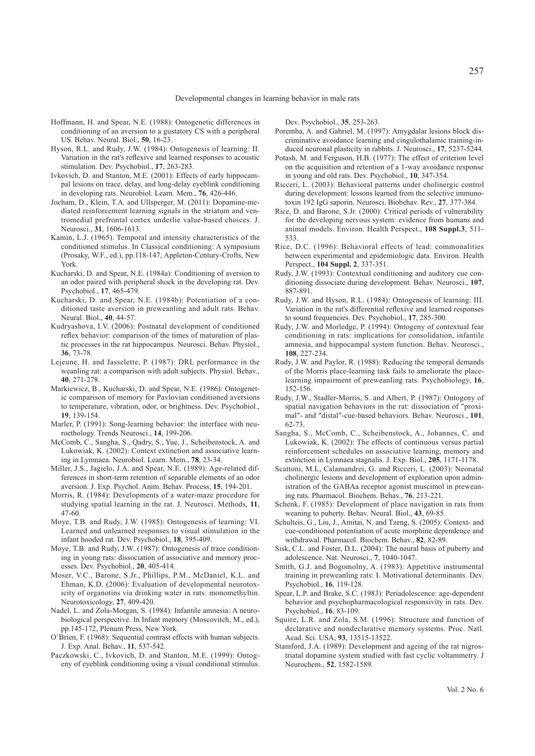- Hoffmann, H. and Spear, N.E. (1988): Ontogenetic differences in conditioning of an aversion to a gustatory CS with a peripheral US. Behav. Neural. Biol., **50**, 16-23.
- Hyson, R.L. and Rudy, J.W. (1984): Ontogenesis of learning: II. Variation in the rat's reflexive and learned responses to acoustic stimulation. Dev. Psychobiol., **17**, 263-283.
- Ivkovich, D. and Stanton, M.E. (2001): Effects of early hippocampal lesions on trace, delay, and long-delay eyeblink conditioning in developing rats. Neurobiol. Learn. Mem., **76**, 426-446.
- Jocham, D., Klein, T.A. and Ullsperger, M. (2011): Dopamine-mediated reinforcement learning signals in the striatum and ventromedial prefrontal cortex underlie value-based choices. J. Neurosci., **31**, 1606-1613.
- Kamin, L.J. (1965). Temporal and intensity characteristics of the conditioned stimulus. In Classical conditioning: A symposium (Prosaky, W.F., ed.), pp.118-147, Appleton-Century-Crofts, New York.
- Kucharski, D. and Spear, N.E. (1984a): Conditioning of aversion to an odor paired with peripheral shock in the developing rat. Dev. Psychobiol., **17**, 465-479.
- Kucharski, D. and Spear, N.E. (1984b): Potentiation of a conditioned taste aversion in preweanling and adult rats. Behav. Neural. Biol., **40**, 44-57.
- Kudryashova, I.V. (2006): Postnatal development of conditioned reflex behavior: comparison of the times of maturation of plastic processes in the rat hippocampus. Neurosci. Behav. Physiol., **36**, 73-78.
- Lejeune, H. and Jasselette, P. (1987): DRL performance in the weanling rat: a comparison with adult subjects. Physiol. Behav., **40**, 271-278.
- Markiewicz, B., Kucharski, D. and Spear, N.E. (1986): Ontogenetic comparison of memory for Pavlovian conditioned aversions to temperature, vibration, odor, or brightness. Dev. Psychobiol., **19**, 139-154.
- Marler, P. (1991): Song-learning behavior: the interface with neuroethology. Trends Neurosci., **14**, 199-206.
- McComb, C., Sangha, S., Qadry, S., Yue, J., Scheibenstock, A. and Lukowiak, K. (2002): Context extinction and associative learning in Lymnaea. Neurobiol. Learn. Mem., **78**, 23-34.
- Miller, J.S., Jagielo, J.A. and Spear, N.E. (1989): Age-related differences in short-term retention of separable elements of an odor aversion. J. Exp. Psychol. Anim. Behav. Process, **15**, 194-201.
- Morris, R. (1984): Developments of a water-maze procedure for studying spatial learning in the rat. J. Neurosci. Methods, **11**, 47-60.
- Moye, T.B. and Rudy, J.W. (1985): Ontogenesis of learning: VI. Learned and unlearned responses to visual stimulation in the infant hooded rat. Dev. Psychobiol., **18**, 395-409.
- Moye, T.B. and Rudy, J.W. (1987): Ontogenesis of trace conditioning in young rats: dissociation of associative and memory processes. Dev. Psychobiol., **20**, 405-414.
- Moser, V.C., Barone, S.Jr., Phillips, P.M., McDaniel, K.L. and Ehman, K.D. (2006): Evaluation of developmental neurotoxicity of organotins via drinking water in rats: monomethyltin. Neurotoxicology, **27**, 409-420.
- Nadel, L. and Zola-Morgan, S. (1984): Infantile amnesia: A neurobiological perspective. In Infant memory (Moscovitch, M., ed.), pp.145-172, Plenum Press, New York.
- O'Brien, F. (1968): Sequential contrast effects with human subjects. J. Exp. Anal. Behav., **11**, 537-542.
- Paczkowski, C., Ivkovich, D. and Stanton, M.E. (1999): Ontogeny of eyeblink conditioning using a visual conditional stimulus.

Dev. Psychobiol., **35**, 253-263.

- Poremba, A. and Gabriel, M. (1997): Amygdalar lesions block discriminative avoidance learning and cingulothalamic training-induced neuronal plasticity in rabbits. J. Neurosci., **17**, 5237-5244.
- Potash, M. and Ferguson, H.B. (1977): The effect of criterion level on the acquisition and retention of a 1-way avoidance response in young and old rats. Dev. Psychobiol., **10**, 347-354.
- Ricceri, L. (2003): Behavioral patterns under cholinergic control during development: lessons learned from the selective immunotoxin 192 IgG saporin. Neurosci. Biobehav. Rev., **27**, 377-384.
- Rice, D. and Barone, S.Jr. (2000): Critical periods of vulnerability for the developing nervous system: evidence from humans and animal models. Environ. Health Perspect., **108 Suppl.3**, 511- 533.
- Rice, D.C. (1996): Behavioral effects of lead: commonalities between experimental and epidemiologic data. Environ. Health Perspect., **104 Suppl. 2**, 337-351.
- Rudy, J.W. (1993): Contextual conditioning and auditory cue conditioning dissociate during development. Behav. Neurosci., **107**, 887-891.
- Rudy, J.W. and Hyson, R.L. (1984): Ontogenesis of learning: III. Variation in the rat's differential reflexive and learned responses to sound frequencies. Dev. Psychobiol., **17**, 285-300.
- Rudy, J.W. and Morledge, P. (1994): Ontogeny of contextual fear conditioning in rats: implications for consolidation, infantile amnesia, and hippocampal system function. Behav. Neurosci., **108**, 227-234.
- Rudy, J.W. and Paylor, R. (1988): Reducing the temporal demands of the Morris place-learning task fails to ameliorate the placelearning impairment of preweanling rats. Psychobiology, **16**, 152-156.
- Rudy, J.W., Stadler-Morris, S. and Albert, P. (1987): Ontogeny of spatial navigation behaviors in the rat: dissociation of "proximal"- and "distal"-cue-based behaviors. Behav. Neurosci., **101**, 62-73.
- Sangha, S., McComb, C., Scheibenstock, A., Johannes, C. and Lukowiak, K. (2002): The effects of continuous versus partial reinforcement schedules on associative learning, memory and extinction in Lymnaea stagnalis. J. Exp. Biol., **205**, 1171-1178.
- Scattoni, M.L, Calamandrei, G. and Ricceri, L. (2003): Neonatal cholinergic lesions and development of exploration upon administration of the GABAa receptor agonist muscimol in preweaning rats. Pharmacol. Biochem. Behav., **76**, 213-221.
- Schenk, F. (1985): Development of place navigation in rats from weaning to puberty. Behav. Neural. Biol., **43**, 69-85.
- Schulteis, G., Liu, J., Amitai, N. and Tzeng, S. (2005): Context- and cue-conditioned potentiation of acute morphine dependence and withdrawal. Pharmacol. Biochem. Behav., **82**, 82-89.
- Sisk, C.L. and Foster, D.L. (2004): The neural basis of puberty and adolescence. Nat. Neurosci., **7**, 1040-1047.
- Smith, G.J. and Bogomolny, A. (1983): Appetitive instrumental training in preweanling rats: I. Motivational determinants. Dev. Psychobiol., **16**, 119-128.
- Spear, L.P. and Brake, S.C. (1983): Periadolescence: age-dependent behavior and psychopharmacological responsivity in rats. Dev. Psychobiol., **16**, 83-109.
- Squire, L.R. and Zola, S.M. (1996): Structure and function of declarative and nondeclarative memory systems. Proc. Natl. Acad. Sci. USA, **93**, 13515-13522.
- Stamford, J.A. (1989): Development and ageing of the rat nigrostriatal dopamine system studied with fast cyclic voltammetry. J Neurochem., **52**, 1582-1589.